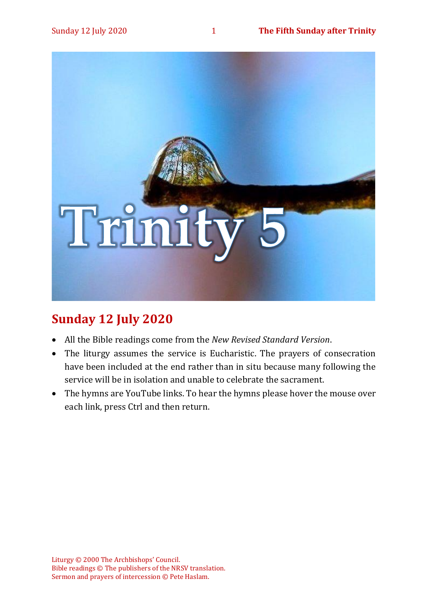

# **Sunday 12 July 2020**

- All the Bible readings come from the *New Revised Standard Version*.
- The liturgy assumes the service is Eucharistic. The prayers of consecration have been included at the end rather than in situ because many following the service will be in isolation and unable to celebrate the sacrament.
- The hymns are YouTube links. To hear the hymns please hover the mouse over each link, press Ctrl and then return.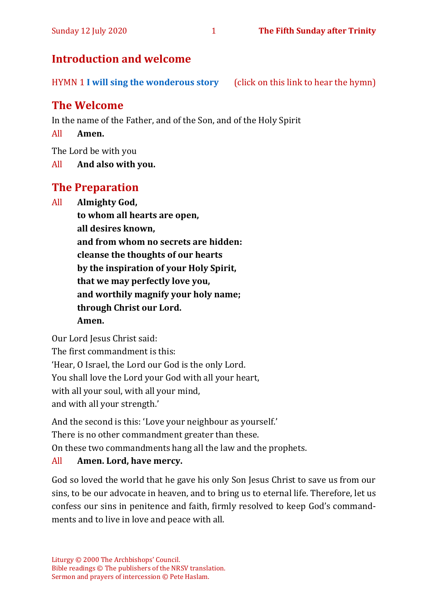# **Introduction and welcome**

HYMN 1 **[I will sing the wonderous story](https://www.youtube.com/watch?v=Y3jxMdbo3FQ)** (click on this link to hear the hymn)

# **The Welcome**

In the name of the Father, and of the Son, and of the Holy Spirit

All **Amen.**

The Lord be with you

All **And also with you.**

# **The Preparation**

All **Almighty God,**

**to whom all hearts are open, all desires known, and from whom no secrets are hidden: cleanse the thoughts of our hearts by the inspiration of your Holy Spirit, that we may perfectly love you, and worthily magnify your holy name; through Christ our Lord. Amen.**

Our Lord Jesus Christ said:

The first commandment is this: 'Hear, O Israel, the Lord our God is the only Lord. You shall love the Lord your God with all your heart, with all your soul, with all your mind, and with all your strength.'

And the second is this: 'Love your neighbour as yourself.'

There is no other commandment greater than these.

On these two commandments hang all the law and the prophets.

#### All **Amen. Lord, have mercy.**

God so loved the world that he gave his only Son Jesus Christ to save us from our sins, to be our advocate in heaven, and to bring us to eternal life. Therefore, let us confess our sins in penitence and faith, firmly resolved to keep God's commandments and to live in love and peace with all.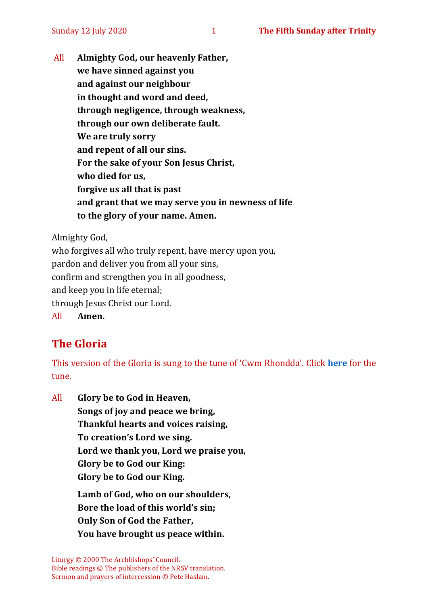All **Almighty God, our heavenly Father, we have sinned against you and against our neighbour in thought and word and deed, through negligence, through weakness, through our own deliberate fault. We are truly sorry and repent of all our sins. For the sake of your Son Jesus Christ, who died for us, forgive us all that is past and grant that we may serve you in newness of life to the glory of your name. Amen.**

Almighty God,

who forgives all who truly repent, have mercy upon you, pardon and deliver you from all your sins, confirm and strengthen you in all goodness, and keep you in life eternal; through Jesus Christ our Lord. All **Amen.**

# **The Gloria**

This version of the Gloria is sung to the tune of 'Cwm Rhondda'. Click **[here](about:blank)** for the tune.

All **Glory be to God in Heaven, Songs of joy and peace we bring, Thankful hearts and voices raising, To creation's Lord we sing. Lord we thank you, Lord we praise you, Glory be to God our King: Glory be to God our King. Lamb of God, who on our shoulders, Bore the load of this world's sin; Only Son of God the Father, You have brought us peace within.**

Liturgy © 2000 The Archbishops' Council. Bible readings © The publishers of the NRSV translation. Sermon and prayers of intercession © Pete Haslam.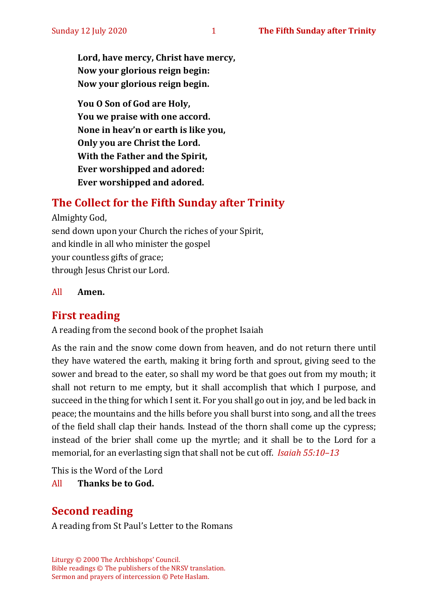**Lord, have mercy, Christ have mercy, Now your glorious reign begin: Now your glorious reign begin.**

**You O Son of God are Holy, You we praise with one accord. None in heav'n or earth is like you, Only you are Christ the Lord. With the Father and the Spirit, Ever worshipped and adored: Ever worshipped and adored.**

# **The Collect for the Fifth Sunday after Trinity**

Almighty God, send down upon your Church the riches of your Spirit, and kindle in all who minister the gospel your countless gifts of grace; through Jesus Christ our Lord.

All **Amen.**

#### **First reading**

A reading from the second book of the prophet Isaiah

As the rain and the snow come down from heaven, and do not return there until they have watered the earth, making it bring forth and sprout, giving seed to the sower and bread to the eater, so shall my word be that goes out from my mouth; it shall not return to me empty, but it shall accomplish that which I purpose, and succeed in the thing for which I sent it. For you shall go out in joy, and be led back in peace; the mountains and the hills before you shall burst into song, and all the trees of the field shall clap their hands. Instead of the thorn shall come up the cypress; instead of the brier shall come up the myrtle; and it shall be to the Lord for a memorial, for an everlasting sign that shall not be cut off. *Isaiah 55:10–13*

This is the Word of the Lord

All **Thanks be to God.**

# **Second reading**

A reading from St Paul's Letter to the Romans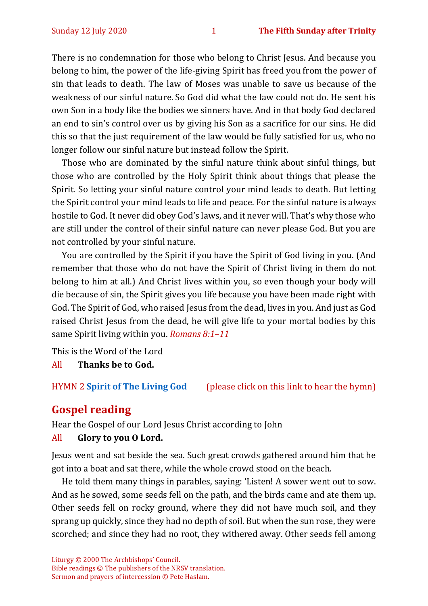There is no condemnation for those who belong to Christ Jesus. And because you belong to him, the power of the life-giving Spirit has freed you from the power of sin that leads to death. The law of Moses was unable to save us because of the weakness of our sinful nature. So God did what the law could not do. He sent his own Son in a body like the bodies we sinners have. And in that body God declared an end to sin's control over us by giving his Son as a sacrifice for our sins. He did this so that the just requirement of the law would be fully satisfied for us, who no longer follow our sinful nature but instead follow the Spirit.

Those who are dominated by the sinful nature think about sinful things, but those who are controlled by the Holy Spirit think about things that please the Spirit. So letting your sinful nature control your mind leads to death. But letting the Spirit control your mind leads to life and peace. For the sinful nature is always hostile to God. It never did obey God's laws, and it never will. That's why those who are still under the control of their sinful nature can never please God. But you are not controlled by your sinful nature.

You are controlled by the Spirit if you have the Spirit of God living in you. (And remember that those who do not have the Spirit of Christ living in them do not belong to him at all.) And Christ lives within you, so even though your body will die because of sin, the Spirit gives you life because you have been made right with God. The Spirit of God, who raised Jesus from the dead, lives in you. And just as God raised Christ Jesus from the dead, he will give life to your mortal bodies by this same Spirit living within you. *Romans 8:1–11*

This is the Word of the Lord

All **Thanks be to God.**

#### HYMN 2 **[Spirit of The Living God](https://www.youtube.com/watch?v=ccaFnRYLTok)** (please click on this link to hear the hymn)

## **Gospel reading**

Hear the Gospel of our Lord Jesus Christ according to John

#### All **Glory to you O Lord.**

Jesus went and sat beside the sea. Such great crowds gathered around him that he got into a boat and sat there, while the whole crowd stood on the beach.

He told them many things in parables, saying: 'Listen! A sower went out to sow. And as he sowed, some seeds fell on the path, and the birds came and ate them up. Other seeds fell on rocky ground, where they did not have much soil, and they sprang up quickly, since they had no depth of soil. But when the sun rose, they were scorched; and since they had no root, they withered away. Other seeds fell among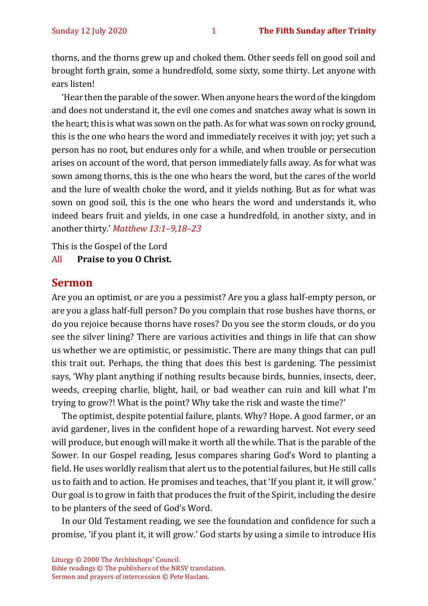thorns, and the thorns grew up and choked them. Other seeds fell on good soil and brought forth grain, some a hundredfold, some sixty, some thirty. Let anyone with ears listen!

'Hear then the parable of the sower. When anyone hears the word of the kingdom and does not understand it, the evil one comes and snatches away what is sown in the heart; this is what was sown on the path. As for what was sown on rocky ground, this is the one who hears the word and immediately receives it with joy; yet such a person has no root, but endures only for a while, and when trouble or persecution arises on account of the word, that person immediately falls away. As for what was sown among thorns, this is the one who hears the word, but the cares of the world and the lure of wealth choke the word, and it yields nothing. But as for what was sown on good soil, this is the one who hears the word and understands it, who indeed bears fruit and yields, in one case a hundredfold, in another sixty, and in another thirty.' *Matthew 13:1–9,18–23*

This is the Gospel of the Lord

All **Praise to you O Christ.** 

#### **Sermon**

Are you an optimist, or are you a pessimist? Are you a glass half-empty person, or are you a glass half-full person? Do you complain that rose bushes have thorns, or do you rejoice because thorns have roses? Do you see the storm clouds, or do you see the silver lining? There are various activities and things in life that can show us whether we are optimistic, or pessimistic. There are many things that can pull this trait out. Perhaps, the thing that does this best is gardening. The pessimist says, 'Why plant anything if nothing results because birds, bunnies, insects, deer, weeds, creeping charlie, blight, hail, or bad weather can ruin and kill what I'm trying to grow?! What is the point? Why take the risk and waste the time?'

The optimist, despite potential failure, plants. Why? Hope. A good farmer, or an avid gardener, lives in the confident hope of a rewarding harvest. Not every seed will produce, but enough will make it worth all the while. That is the parable of the Sower. In our Gospel reading, Jesus compares sharing God's Word to planting a field. He uses worldly realism that alert us to the potential failures, but He still calls us to faith and to action. He promises and teaches, that 'If you plant it, it will grow.' Our goal is to grow in faith that produces the fruit of the Spirit, including the desire to be planters of the seed of God's Word.

In our Old Testament reading, we see the foundation and confidence for such a promise, 'if you plant it, it will grow.' God starts by using a simile to introduce His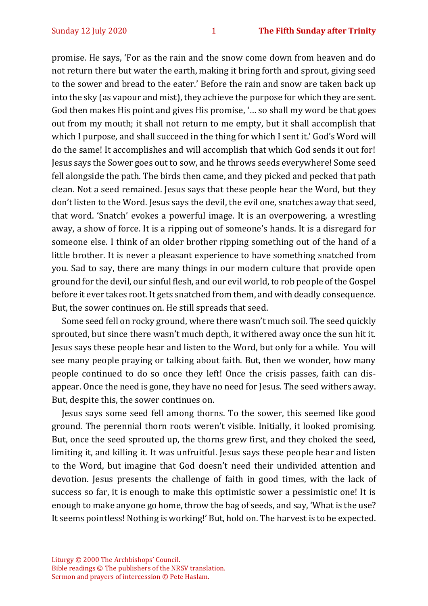promise. He says, 'For as the rain and the snow come down from heaven and do not return there but water the earth, making it bring forth and sprout, giving seed to the sower and bread to the eater.' Before the rain and snow are taken back up into the sky (as vapour and mist), they achieve the purpose for which they are sent. God then makes His point and gives His promise, '… so shall my word be that goes out from my mouth; it shall not return to me empty, but it shall accomplish that which I purpose, and shall succeed in the thing for which I sent it.' God's Word will do the same! It accomplishes and will accomplish that which God sends it out for! Jesus says the Sower goes out to sow, and he throws seeds everywhere! Some seed fell alongside the path. The birds then came, and they picked and pecked that path clean. Not a seed remained. Jesus says that these people hear the Word, but they don't listen to the Word. Jesus says the devil, the evil one, snatches away that seed, that word. 'Snatch' evokes a powerful image. It is an overpowering, a wrestling away, a show of force. It is a ripping out of someone's hands. It is a disregard for someone else. I think of an older brother ripping something out of the hand of a little brother. It is never a pleasant experience to have something snatched from you. Sad to say, there are many things in our modern culture that provide open ground for the devil, our sinful flesh, and our evil world, to rob people of the Gospel before it ever takes root. It gets snatched from them, and with deadly consequence. But, the sower continues on. He still spreads that seed.

Some seed fell on rocky ground, where there wasn't much soil. The seed quickly sprouted, but since there wasn't much depth, it withered away once the sun hit it. Jesus says these people hear and listen to the Word, but only for a while. You will see many people praying or talking about faith. But, then we wonder, how many people continued to do so once they left! Once the crisis passes, faith can disappear. Once the need is gone, they have no need for Jesus. The seed withers away. But, despite this, the sower continues on.

Jesus says some seed fell among thorns. To the sower, this seemed like good ground. The perennial thorn roots weren't visible. Initially, it looked promising. But, once the seed sprouted up, the thorns grew first, and they choked the seed, limiting it, and killing it. It was unfruitful. Jesus says these people hear and listen to the Word, but imagine that God doesn't need their undivided attention and devotion. Jesus presents the challenge of faith in good times, with the lack of success so far, it is enough to make this optimistic sower a pessimistic one! It is enough to make anyone go home, throw the bag of seeds, and say, 'What is the use? It seems pointless! Nothing is working!' But, hold on. The harvest is to be expected.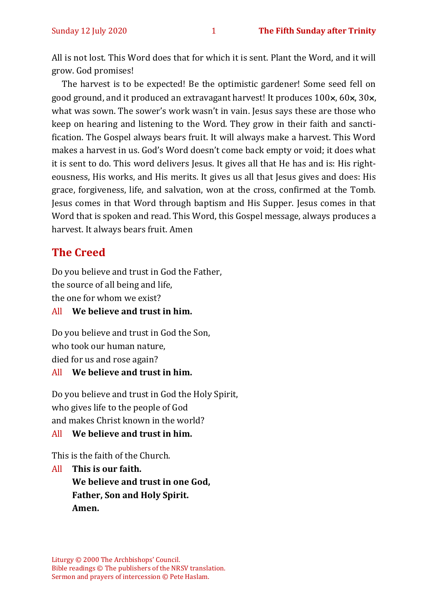All is not lost. This Word does that for which it is sent. Plant the Word, and it will grow. God promises!

The harvest is to be expected! Be the optimistic gardener! Some seed fell on good ground, and it produced an extravagant harvest! It produces  $100 \times 60 \times 30 \times$ , what was sown. The sower's work wasn't in vain. Jesus says these are those who keep on hearing and listening to the Word. They grow in their faith and sanctification. The Gospel always bears fruit. It will always make a harvest. This Word makes a harvest in us. God's Word doesn't come back empty or void; it does what it is sent to do. This word delivers Jesus. It gives all that He has and is: His righteousness, His works, and His merits. It gives us all that Jesus gives and does: His grace, forgiveness, life, and salvation, won at the cross, confirmed at the Tomb. Jesus comes in that Word through baptism and His Supper. Jesus comes in that Word that is spoken and read. This Word, this Gospel message, always produces a harvest. It always bears fruit. Amen

# **The Creed**

Do you believe and trust in God the Father, the source of all being and life, the one for whom we exist?

#### All **We believe and trust in him.**

Do you believe and trust in God the Son, who took our human nature, died for us and rose again?

#### All **We believe and trust in him.**

Do you believe and trust in God the Holy Spirit, who gives life to the people of God and makes Christ known in the world?

#### All **We believe and trust in him.**

This is the faith of the Church.

All **This is our faith. We believe and trust in one God, Father, Son and Holy Spirit. Amen.**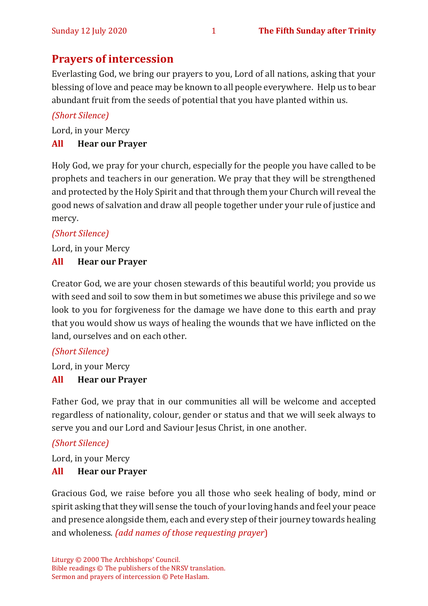# **Prayers of intercession**

Everlasting God, we bring our prayers to you, Lord of all nations, asking that your blessing of love and peace may be known to all people everywhere. Help us to bear abundant fruit from the seeds of potential that you have planted within us.

#### *(Short Silence)*

Lord, in your Mercy

#### **All Hear our Prayer**

Holy God, we pray for your church, especially for the people you have called to be prophets and teachers in our generation. We pray that they will be strengthened and protected by the Holy Spirit and that through them your Church will reveal the good news of salvation and draw all people together under your rule of justice and mercy.

#### *(Short Silence)*

Lord, in your Mercy

#### **All Hear our Prayer**

Creator God, we are your chosen stewards of this beautiful world; you provide us with seed and soil to sow them in but sometimes we abuse this privilege and so we look to you for forgiveness for the damage we have done to this earth and pray that you would show us ways of healing the wounds that we have inflicted on the land, ourselves and on each other.

#### *(Short Silence)*

Lord, in your Mercy

#### **All Hear our Prayer**

Father God, we pray that in our communities all will be welcome and accepted regardless of nationality, colour, gender or status and that we will seek always to serve you and our Lord and Saviour Jesus Christ, in one another.

#### *(Short Silence)*

Lord, in your Mercy

#### **All Hear our Prayer**

Gracious God, we raise before you all those who seek healing of body, mind or spirit asking that they will sense the touch of your loving hands and feel your peace and presence alongside them, each and every step of their journey towards healing and wholeness. *(add names of those requesting prayer*)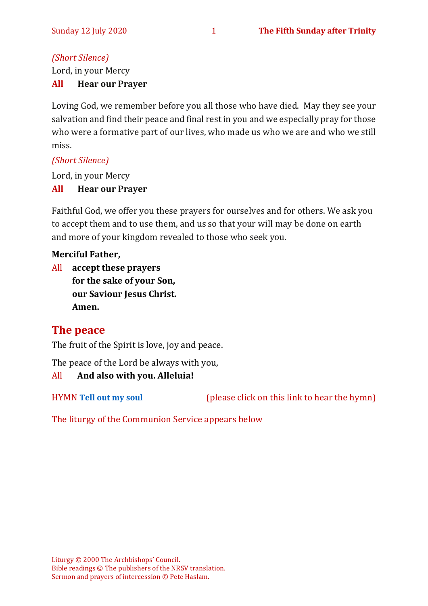#### *(Short Silence)*

Lord, in your Mercy

#### **All Hear our Prayer**

Loving God, we remember before you all those who have died. May they see your salvation and find their peace and final rest in you and we especially pray for those who were a formative part of our lives, who made us who we are and who we still miss.

#### *(Short Silence)*

Lord, in your Mercy

#### **All Hear our Prayer**

Faithful God, we offer you these prayers for ourselves and for others. We ask you to accept them and to use them, and us so that your will may be done on earth and more of your kingdom revealed to those who seek you.

#### **Merciful Father,**

All **accept these prayers for the sake of your Son, our Saviour Jesus Christ. Amen.**

## **The peace**

The fruit of the Spirit is love, joy and peace.

The peace of the Lord be always with you,

#### All **And also with you. Alleluia!**

HYMN **[Tell out my soul](https://www.youtube.com/watch?v=eqwoqRo9N6E)** (please click on this link to hear the hymn)

The liturgy of the Communion Service appears below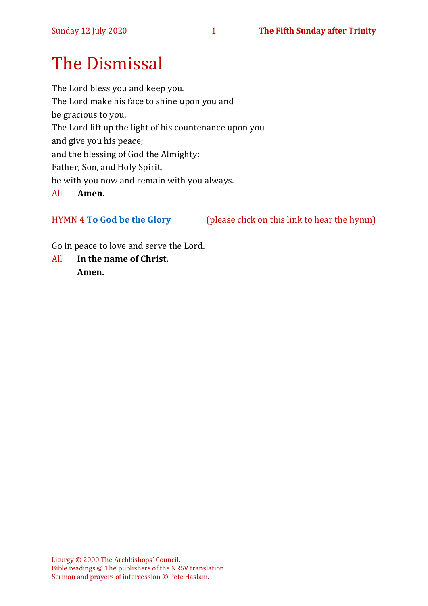# The Dismissal

The Lord bless you and keep you. The Lord make his face to shine upon you and be gracious to you. The Lord lift up the light of his countenance upon you and give you his peace; and the blessing of God the Almighty: Father, Son, and Holy Spirit, be with you now and remain with you always. All **Amen.**

HYMN 4 **[To God be the Glory](https://www.youtube.com/watch?v=22FUZCZuV7s)** (please click on this link to hear the hymn)

Go in peace to love and serve the Lord.

All **In the name of Christ. Amen.**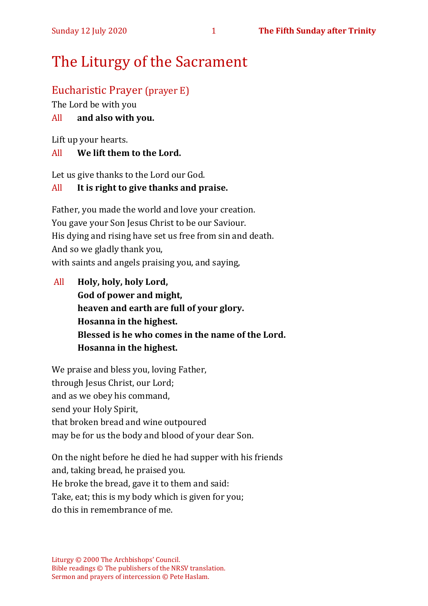# The Liturgy of the Sacrament

# Eucharistic Prayer (prayer E)

The Lord be with you

#### All **and also with you.**

Lift up your hearts.

#### All **We lift them to the Lord.**

Let us give thanks to the Lord our God.

#### All **It is right to give thanks and praise.**

Father, you made the world and love your creation. You gave your Son Jesus Christ to be our Saviour. His dying and rising have set us free from sin and death. And so we gladly thank you, with saints and angels praising you, and saying,

All **Holy, holy, holy Lord, God of power and might, heaven and earth are full of your glory. Hosanna in the highest. Blessed is he who comes in the name of the Lord. Hosanna in the highest.**

We praise and bless you, loving Father, through Jesus Christ, our Lord; and as we obey his command, send your Holy Spirit, that broken bread and wine outpoured may be for us the body and blood of your dear Son.

On the night before he died he had supper with his friends and, taking bread, he praised you. He broke the bread, gave it to them and said: Take, eat; this is my body which is given for you; do this in remembrance of me.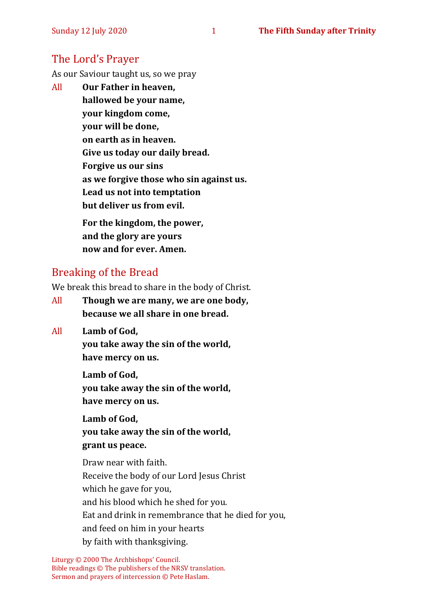# The Lord's Prayer

As our Saviour taught us, so we pray

All **Our Father in heaven, hallowed be your name, your kingdom come, your will be done, on earth as in heaven. Give us today our daily bread. Forgive us our sins as we forgive those who sin against us. Lead us not into temptation but deliver us from evil. For the kingdom, the power,** 

**and the glory are yours now and for ever. Amen.**

# Breaking of the Bread

We break this bread to share in the body of Christ.

- All **Though we are many, we are one body, because we all share in one bread.**
- All **Lamb of God,**

**you take away the sin of the world, have mercy on us.**

**Lamb of God, you take away the sin of the world, have mercy on us.**

**Lamb of God, you take away the sin of the world, grant us peace.**

Draw near with faith. Receive the body of our Lord Jesus Christ which he gave for you, and his blood which he shed for you. Eat and drink in remembrance that he died for you, and feed on him in your hearts by faith with thanksgiving.